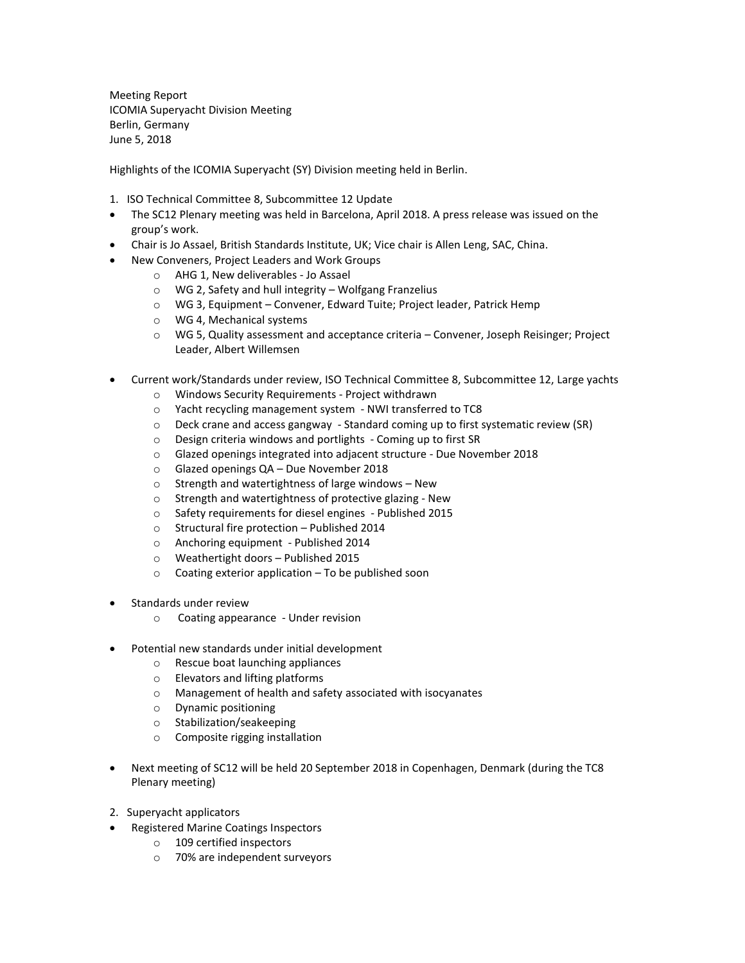Meeting Report ICOMIA Superyacht Division Meeting Berlin, Germany June 5, 2018

Highlights of the ICOMIA Superyacht (SY) Division meeting held in Berlin.

- 1. ISO Technical Committee 8, Subcommittee 12 Update
- The SC12 Plenary meeting was held in Barcelona, April 2018. A press release was issued on the group's work.
- Chair is Jo Assael, British Standards Institute, UK; Vice chair is Allen Leng, SAC, China.
	- New Conveners, Project Leaders and Work Groups
		- o AHG 1, New deliverables Jo Assael
		- o WG 2, Safety and hull integrity Wolfgang Franzelius
		- o WG 3, Equipment Convener, Edward Tuite; Project leader, Patrick Hemp
		- o WG 4, Mechanical systems
		- o WG 5, Quality assessment and acceptance criteria Convener, Joseph Reisinger; Project Leader, Albert Willemsen
- Current work/Standards under review, ISO Technical Committee 8, Subcommittee 12, Large yachts
	- o Windows Security Requirements Project withdrawn
	- o Yacht recycling management system NWI transferred to TC8
	- $\circ$  Deck crane and access gangway Standard coming up to first systematic review (SR)
	- o Design criteria windows and portlights Coming up to first SR
	- o Glazed openings integrated into adjacent structure Due November 2018
	- o Glazed openings QA Due November 2018
	- o Strength and watertightness of large windows New
	- o Strength and watertightness of protective glazing New
	- o Safety requirements for diesel engines Published 2015
	- o Structural fire protection Published 2014
	- o Anchoring equipment Published 2014
	- o Weathertight doors Published 2015
	- o Coating exterior application To be published soon
- Standards under review
	- o Coating appearance Under revision
- Potential new standards under initial development
	- o Rescue boat launching appliances
	- o Elevators and lifting platforms
	- o Management of health and safety associated with isocyanates
	- o Dynamic positioning
	- o Stabilization/seakeeping
	- o Composite rigging installation
- Next meeting of SC12 will be held 20 September 2018 in Copenhagen, Denmark (during the TC8 Plenary meeting)
- 2. Superyacht applicators
- Registered Marine Coatings Inspectors
	- o 109 certified inspectors
	- o 70% are independent surveyors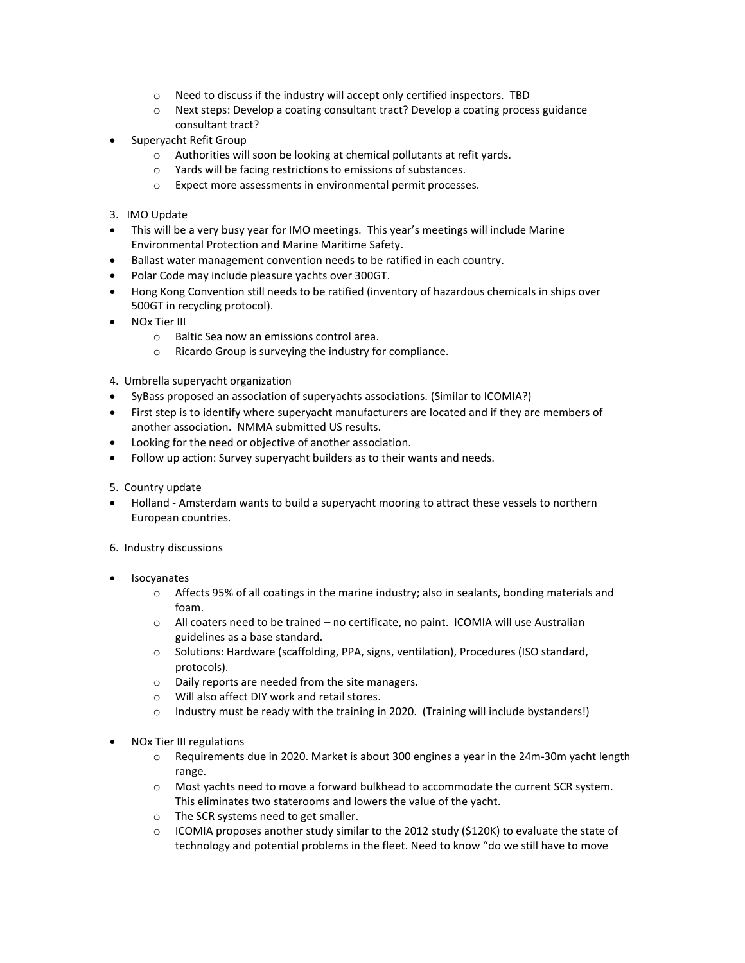- o Need to discuss if the industry will accept only certified inspectors. TBD
- $\circ$  Next steps: Develop a coating consultant tract? Develop a coating process guidance consultant tract?
- Superyacht Refit Group
	- o Authorities will soon be looking at chemical pollutants at refit yards.
	- o Yards will be facing restrictions to emissions of substances.
	- o Expect more assessments in environmental permit processes.
- 3. IMO Update
- This will be a very busy year for IMO meetings. This year's meetings will include Marine Environmental Protection and Marine Maritime Safety.
- Ballast water management convention needs to be ratified in each country.
- Polar Code may include pleasure yachts over 300GT.
- Hong Kong Convention still needs to be ratified (inventory of hazardous chemicals in ships over 500GT in recycling protocol).
- NOx Tier III
	- o Baltic Sea now an emissions control area.
	- o Ricardo Group is surveying the industry for compliance.
- 4. Umbrella superyacht organization
- SyBass proposed an association of superyachts associations. (Similar to ICOMIA?)
- First step is to identify where superyacht manufacturers are located and if they are members of another association. NMMA submitted US results.
- Looking for the need or objective of another association.
- Follow up action: Survey superyacht builders as to their wants and needs.
- 5. Country update
- Holland Amsterdam wants to build a superyacht mooring to attract these vessels to northern European countries.
- 6. Industry discussions
- Isocyanates
	- $\circ$  Affects 95% of all coatings in the marine industry; also in sealants, bonding materials and foam.
	- $\circ$  All coaters need to be trained no certificate, no paint. ICOMIA will use Australian guidelines as a base standard.
	- o Solutions: Hardware (scaffolding, PPA, signs, ventilation), Procedures (ISO standard, protocols).
	- o Daily reports are needed from the site managers.
	- o Will also affect DIY work and retail stores.
	- $\circ$  Industry must be ready with the training in 2020. (Training will include bystanders!)
- NOx Tier III regulations
	- o Requirements due in 2020. Market is about 300 engines a year in the 24m-30m yacht length range.
	- o Most yachts need to move a forward bulkhead to accommodate the current SCR system. This eliminates two staterooms and lowers the value of the yacht.
	- o The SCR systems need to get smaller.
	- $\circ$  ICOMIA proposes another study similar to the 2012 study (\$120K) to evaluate the state of technology and potential problems in the fleet. Need to know "do we still have to move